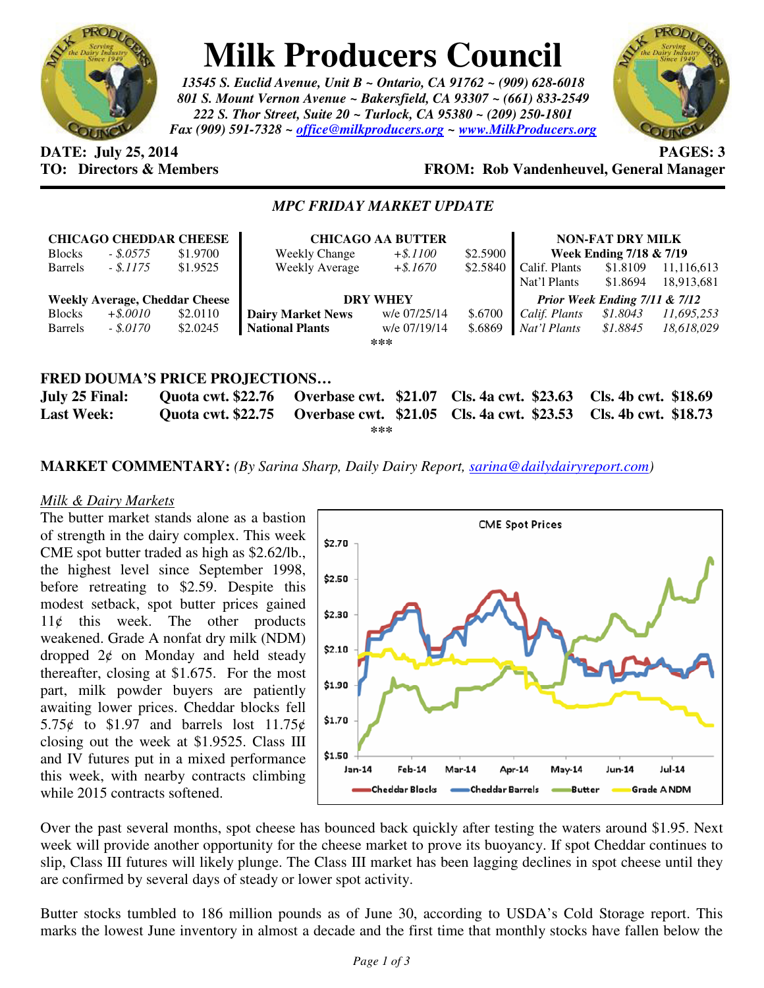

# **Milk Producers Council**

*13545 S. Euclid Avenue, Unit B ~ Ontario, CA 91762 ~ (909) 628-6018 801 S. Mount Vernon Avenue ~ Bakersfield, CA 93307 ~ (661) 833-2549 222 S. Thor Street, Suite 20 ~ Turlock, CA 95380 ~ (209) 250-1801 Fax (909) 591-7328 ~ office@milkproducers.org ~ www.MilkProducers.org*



# **DATE: July 25, 2014 PAGES: 3**

## **TO: Directors & Members FROM: Rob Vandenheuvel, General Manager**

### *MPC FRIDAY MARKET UPDATE*

| <b>CHICAGO CHEDDAR CHEESE</b>         |             |                           | <b>CHICAGO AA BUTTER</b>              |              |          | <b>NON-FAT DRY MILK</b>       |                      |            |
|---------------------------------------|-------------|---------------------------|---------------------------------------|--------------|----------|-------------------------------|----------------------|------------|
| <b>Blocks</b>                         | $-.8.0575$  | \$1.9700                  | <b>Weekly Change</b>                  | $+$ \$.1100  | \$2.5900 | Week Ending 7/18 & 7/19       |                      |            |
| <b>Barrels</b>                        | $-.5.1175$  | \$1.9525                  | <b>Weekly Average</b>                 | $+$ \$.1670  | \$2.5840 | Calif. Plants                 | \$1.8109             | 11,116,613 |
|                                       |             |                           |                                       |              |          | Nat'l Plants                  | \$1.8694             | 18,913,681 |
| <b>Weekly Average, Cheddar Cheese</b> |             |                           | <b>DRY WHEY</b>                       |              |          | Prior Week Ending 7/11 & 7/12 |                      |            |
| <b>Blocks</b>                         | $+$ \$.0010 | \$2.0110                  | <b>Dairy Market News</b>              | w/e 07/25/14 | \$.6700  | Calif. Plants                 | \$1.8043             | 11,695,253 |
| <b>Barrels</b>                        | $-.8.0170$  | \$2.0245                  | <b>National Plants</b>                | w/e 07/19/14 | \$.6869  | Nat'l Plants                  | \$1.8845             | 18,618,029 |
|                                       |             |                           |                                       | ***          |          |                               |                      |            |
|                                       |             |                           |                                       |              |          |                               |                      |            |
|                                       |             |                           | <b>FRED DOUMA'S PRICE PROJECTIONS</b> |              |          |                               |                      |            |
|                                       |             |                           |                                       |              |          |                               |                      |            |
| July 25 Final:                        |             | <b>Quota cwt. \$22.76</b> | <b>Overbase cwt. \$21.07</b>          |              |          | <b>Cls. 4a cwt. \$23.63</b>   | Cls. 4b cwt. \$18.69 |            |

| $J^{\mu\nu}$ av Timan |                                                                                    |  |
|-----------------------|------------------------------------------------------------------------------------|--|
| <b>Last Week:</b>     | Quota cwt. \$22.75 Overbase cwt. \$21.05 Cls. 4a cwt. \$23.53 Cls. 4b cwt. \$18.73 |  |
|                       | ***                                                                                |  |

**MARKET COMMENTARY:** *(By Sarina Sharp, Daily Dairy Report, sarina@dailydairyreport.com)* 

#### *Milk & Dairy Markets*

The butter market stands alone as a bastion of strength in the dairy complex. This week CME spot butter traded as high as \$2.62/lb., the highest level since September 1998, before retreating to \$2.59. Despite this modest setback, spot butter prices gained  $11¢$  this week. The other products weakened. Grade A nonfat dry milk (NDM) dropped  $2¢$  on Monday and held steady thereafter, closing at \$1.675. For the most part, milk powder buyers are patiently awaiting lower prices. Cheddar blocks fell 5.75 $\ell$  to \$1.97 and barrels lost 11.75 $\ell$ closing out the week at \$1.9525. Class III and IV futures put in a mixed performance this week, with nearby contracts climbing while 2015 contracts softened.



Over the past several months, spot cheese has bounced back quickly after testing the waters around \$1.95. Next week will provide another opportunity for the cheese market to prove its buoyancy. If spot Cheddar continues to slip, Class III futures will likely plunge. The Class III market has been lagging declines in spot cheese until they are confirmed by several days of steady or lower spot activity.

Butter stocks tumbled to 186 million pounds as of June 30, according to USDA's Cold Storage report. This marks the lowest June inventory in almost a decade and the first time that monthly stocks have fallen below the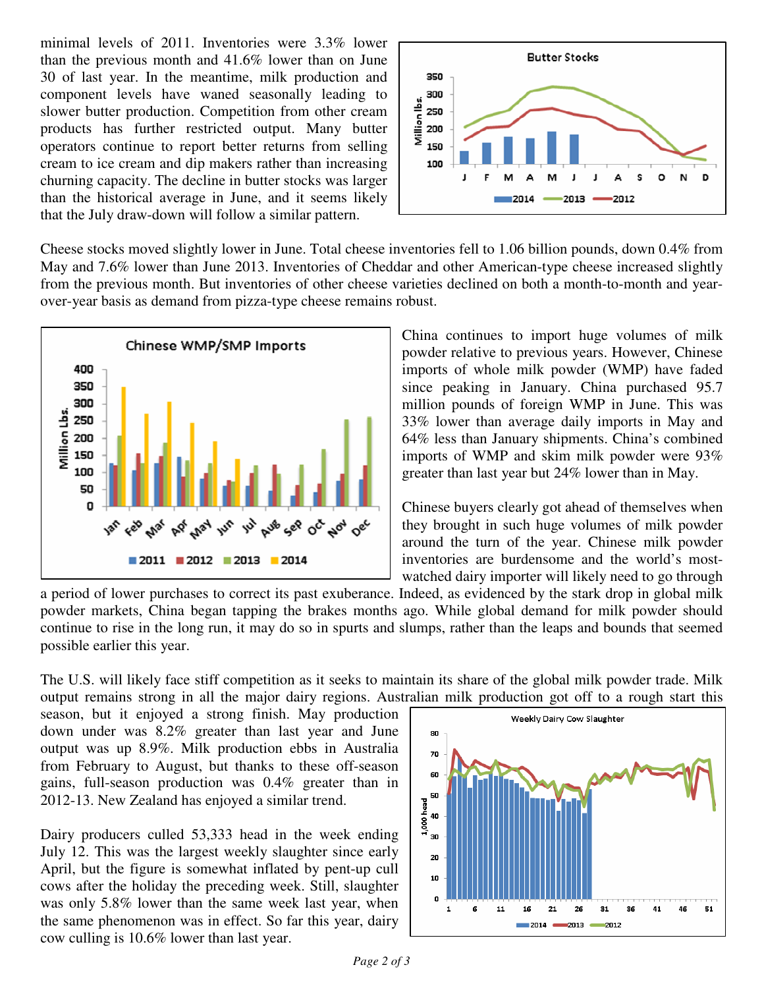minimal levels of 2011. Inventories were 3.3% lower than the previous month and 41.6% lower than on June 30 of last year. In the meantime, milk production and component levels have waned seasonally leading to slower butter production. Competition from other cream products has further restricted output. Many butter operators continue to report better returns from selling cream to ice cream and dip makers rather than increasing churning capacity. The decline in butter stocks was larger than the historical average in June, and it seems likely that the July draw-down will follow a similar pattern.



Cheese stocks moved slightly lower in June. Total cheese inventories fell to 1.06 billion pounds, down 0.4% from May and 7.6% lower than June 2013. Inventories of Cheddar and other American-type cheese increased slightly from the previous month. But inventories of other cheese varieties declined on both a month-to-month and yearover-year basis as demand from pizza-type cheese remains robust.



China continues to import huge volumes of milk powder relative to previous years. However, Chinese imports of whole milk powder (WMP) have faded since peaking in January. China purchased 95.7 million pounds of foreign WMP in June. This was 33% lower than average daily imports in May and 64% less than January shipments. China's combined imports of WMP and skim milk powder were 93% greater than last year but 24% lower than in May.

Chinese buyers clearly got ahead of themselves when they brought in such huge volumes of milk powder around the turn of the year. Chinese milk powder inventories are burdensome and the world's mostwatched dairy importer will likely need to go through

a period of lower purchases to correct its past exuberance. Indeed, as evidenced by the stark drop in global milk powder markets, China began tapping the brakes months ago. While global demand for milk powder should continue to rise in the long run, it may do so in spurts and slumps, rather than the leaps and bounds that seemed possible earlier this year.

The U.S. will likely face stiff competition as it seeks to maintain its share of the global milk powder trade. Milk output remains strong in all the major dairy regions. Australian milk production got off to a rough start this

season, but it enjoyed a strong finish. May production down under was 8.2% greater than last year and June output was up 8.9%. Milk production ebbs in Australia from February to August, but thanks to these off-season gains, full-season production was 0.4% greater than in 2012-13. New Zealand has enjoyed a similar trend.

Dairy producers culled 53,333 head in the week ending July 12. This was the largest weekly slaughter since early April, but the figure is somewhat inflated by pent-up cull cows after the holiday the preceding week. Still, slaughter was only 5.8% lower than the same week last year, when the same phenomenon was in effect. So far this year, dairy cow culling is 10.6% lower than last year.